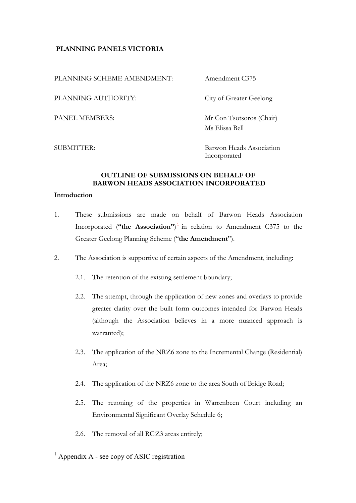# **PLANNING PANELS VICTORIA**

PLANNING SCHEME AMENDMENT: Amendment C375

PLANNING AUTHORITY: City of Greater Geelong

PANEL MEMBERS: Mr Con Tsotsoros (Chair) Ms Elissa Bell

SUBMITTER: Barwon Heads Association Incorporated

## **OUTLINE OF SUBMISSIONS ON BEHALF OF BARWON HEADS ASSOCIATION INCORPORATED**

## **Introduction**

- 1. These submissions are made on behalf of Barwon Heads Association Incorporated (**"the Association"**) <sup>1</sup> in relation to Amendment C375 to the Greater Geelong Planning Scheme ("**the Amendment**").
- 2. The Association is supportive of certain aspects of the Amendment, including:
	- 2.1. The retention of the existing settlement boundary;
	- 2.2. The attempt, through the application of new zones and overlays to provide greater clarity over the built form outcomes intended for Barwon Heads (although the Association believes in a more nuanced approach is warranted);
	- 2.3. The application of the NRZ6 zone to the Incremental Change (Residential) Area;
	- 2.4. The application of the NRZ6 zone to the area South of Bridge Road;
	- 2.5. The rezoning of the properties in Warrenbeen Court including an Environmental Significant Overlay Schedule 6;
	- 2.6. The removal of all RGZ3 areas entirely;

 $<sup>1</sup>$  Appendix A - see copy of ASIC registration</sup>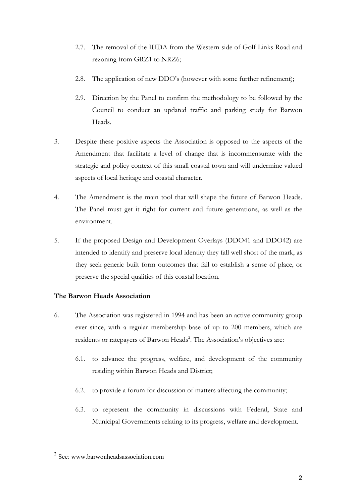- 2.7. The removal of the IHDA from the Western side of Golf Links Road and rezoning from GRZ1 to NRZ6;
- 2.8. The application of new DDO's (however with some further refinement);
- 2.9. Direction by the Panel to confirm the methodology to be followed by the Council to conduct an updated traffic and parking study for Barwon Heads.
- 3. Despite these positive aspects the Association is opposed to the aspects of the Amendment that facilitate a level of change that is incommensurate with the strategic and policy context of this small coastal town and will undermine valued aspects of local heritage and coastal character.
- 4. The Amendment is the main tool that will shape the future of Barwon Heads. The Panel must get it right for current and future generations, as well as the environment.
- 5. If the proposed Design and Development Overlays (DDO41 and DDO42) are intended to identify and preserve local identity they fall well short of the mark, as they seek generic built form outcomes that fail to establish a sense of place, or preserve the special qualities of this coastal location.

# **The Barwon Heads Association**

- 6. The Association was registered in 1994 and has been an active community group ever since, with a regular membership base of up to 200 members, which are residents or ratepayers of Barwon Heads<sup>2</sup>. The Association's objectives are:
	- 6.1. to advance the progress, welfare, and development of the community residing within Barwon Heads and District;
	- 6.2. to provide a forum for discussion of matters affecting the community;
	- 6.3. to represent the community in discussions with Federal, State and Municipal Governments relating to its progress, welfare and development.

 $2$  See: www.barwonheadsassociation.com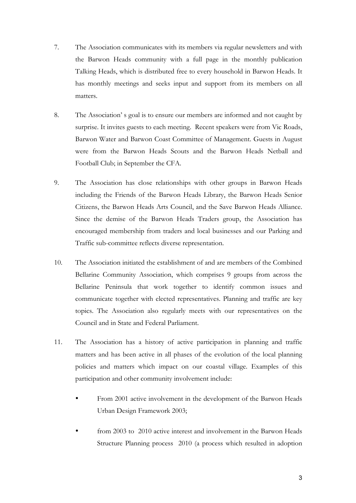- 7. The Association communicates with its members via regular newsletters and with the Barwon Heads community with a full page in the monthly publication Talking Heads, which is distributed free to every household in Barwon Heads. It has monthly meetings and seeks input and support from its members on all matters.
- 8. The Association' s goal is to ensure our members are informed and not caught by surprise. It invites guests to each meeting. Recent speakers were from Vic Roads, Barwon Water and Barwon Coast Committee of Management. Guests in August were from the Barwon Heads Scouts and the Barwon Heads Netball and Football Club; in September the CFA.
- 9. The Association has close relationships with other groups in Barwon Heads including the Friends of the Barwon Heads Library, the Barwon Heads Senior Citizens, the Barwon Heads Arts Council, and the Save Barwon Heads Alliance. Since the demise of the Barwon Heads Traders group, the Association has encouraged membership from traders and local businesses and our Parking and Traffic sub-committee reflects diverse representation.
- 10. The Association initiated the establishment of and are members of the Combined Bellarine Community Association, which comprises 9 groups from across the Bellarine Peninsula that work together to identify common issues and communicate together with elected representatives. Planning and traffic are key topics. The Association also regularly meets with our representatives on the Council and in State and Federal Parliament.
- 11. The Association has a history of active participation in planning and traffic matters and has been active in all phases of the evolution of the local planning policies and matters which impact on our coastal village. Examples of this participation and other community involvement include:
	- From 2001 active involvement in the development of the Barwon Heads Urban Design Framework 2003;
	- from 2003 to 2010 active interest and involvement in the Barwon Heads Structure Planning process 2010 (a process which resulted in adoption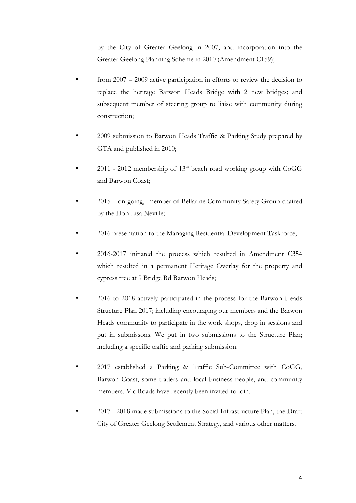by the City of Greater Geelong in 2007, and incorporation into the Greater Geelong Planning Scheme in 2010 (Amendment C159);

- from 2007 2009 active participation in efforts to review the decision to replace the heritage Barwon Heads Bridge with 2 new bridges; and subsequent member of steering group to liaise with community during construction;
- 2009 submission to Barwon Heads Traffic & Parking Study prepared by GTA and published in 2010;
- 2011 2012 membership of  $13<sup>th</sup>$  beach road working group with CoGG and Barwon Coast;
- 2015 on going, member of Bellarine Community Safety Group chaired by the Hon Lisa Neville;
- 2016 presentation to the Managing Residential Development Taskforce;
- 2016-2017 initiated the process which resulted in Amendment C354 which resulted in a permanent Heritage Overlay for the property and cypress tree at 9 Bridge Rd Barwon Heads;
- 2016 to 2018 actively participated in the process for the Barwon Heads Structure Plan 2017; including encouraging our members and the Barwon Heads community to participate in the work shops, drop in sessions and put in submissons. We put in two submissions to the Structure Plan; including a specific traffic and parking submission.
- 2017 established a Parking & Traffic Sub-Committee with CoGG, Barwon Coast, some traders and local business people, and community members. Vic Roads have recently been invited to join.
- 2017 2018 made submissions to the Social Infrastructure Plan, the Draft City of Greater Geelong Settlement Strategy, and various other matters.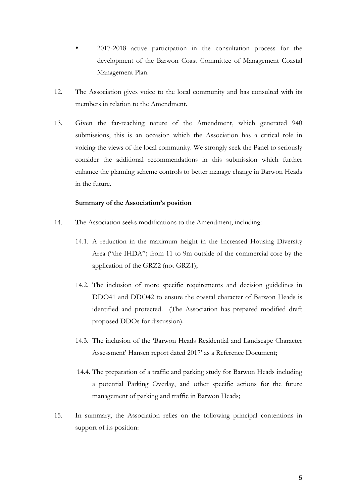- 2017-2018 active participation in the consultation process for the development of the Barwon Coast Committee of Management Coastal Management Plan.
- 12. The Association gives voice to the local community and has consulted with its members in relation to the Amendment.
- 13. Given the far-reaching nature of the Amendment, which generated 940 submissions, this is an occasion which the Association has a critical role in voicing the views of the local community. We strongly seek the Panel to seriously consider the additional recommendations in this submission which further enhance the planning scheme controls to better manage change in Barwon Heads in the future.

## **Summary of the Association's position**

- 14. The Association seeks modifications to the Amendment, including:
	- 14.1. A reduction in the maximum height in the Increased Housing Diversity Area ("the IHDA") from 11 to 9m outside of the commercial core by the application of the GRZ2 (not GRZ1);
	- 14.2. The inclusion of more specific requirements and decision guidelines in DDO41 and DDO42 to ensure the coastal character of Barwon Heads is identified and protected. (The Association has prepared modified draft proposed DDOs for discussion).
	- 14.3. The inclusion of the 'Barwon Heads Residential and Landscape Character Assessment' Hansen report dated 2017' as a Reference Document;
	- 14.4. The preparation of a traffic and parking study for Barwon Heads including a potential Parking Overlay, and other specific actions for the future management of parking and traffic in Barwon Heads;
- 15. In summary, the Association relies on the following principal contentions in support of its position: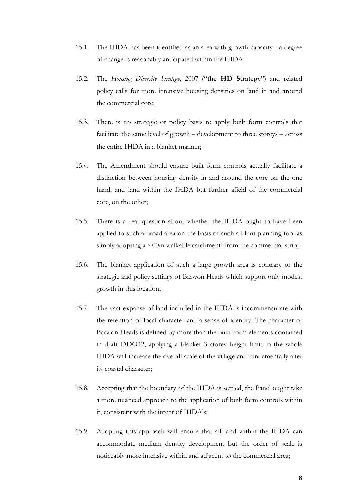- 15.1. The IHDA has been identified as an area with growth capacity a degree of change is reasonably anticipated within the IHDA;
- 15.2. The *Housing Diversity Strategy*, 2007 ("**the HD Strategy**") and related policy calls for more intensive housing densities on land in and around the commercial core;
- 15.3. There is no strategic or policy basis to apply built form controls that facilitate the same level of growth – development to three storeys – across the entire IHDA in a blanket manner;
- 15.4. The Amendment should ensure built form controls actually facilitate a distinction between housing density in and around the core on the one hand, and land within the IHDA but further afield of the commercial core, on the other;
- 15.5. There is a real question about whether the IHDA ought to have been applied to such a broad area on the basis of such a blunt planning tool as simply adopting a '400m walkable catchment' from the commercial strip;
- 15.6. The blanket application of such a large growth area is contrary to the strategic and policy settings of Barwon Heads which support only modest growth in this location;
- 15.7. The vast expanse of land included in the IHDA is incommensurate with the retention of local character and a sense of identity. The character of Barwon Heads is defined by more than the built form elements contained in draft DDO42; applying a blanket 3 storey height limit to the whole IHDA will increase the overall scale of the village and fundamentally alter its coastal character;
- 15.8. Accepting that the boundary of the IHDA is settled, the Panel ought take a more nuanced approach to the application of built form controls within it, consistent with the intent of IHDA's;
- 15.9. Adopting this approach will ensure that all land within the IHDA can accommodate medium density development but the order of scale is noticeably more intensive within and adjacent to the commercial area;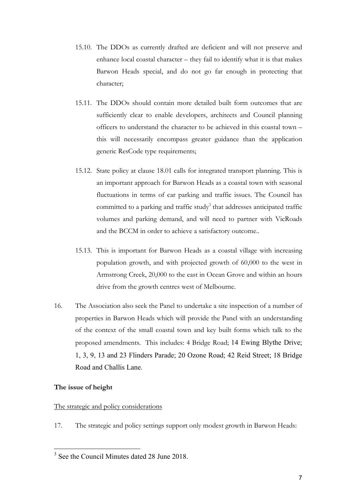- 15.10. The DDOs as currently drafted are deficient and will not preserve and enhance local coastal character – they fail to identify what it is that makes Barwon Heads special, and do not go far enough in protecting that character;
- 15.11. The DDOs should contain more detailed built form outcomes that are sufficiently clear to enable developers, architects and Council planning officers to understand the character to be achieved in this coastal town – this will necessarily encompass greater guidance than the application generic ResCode type requirements;
- 15.12. State policy at clause 18.01 calls for integrated transport planning. This is an important approach for Barwon Heads as a coastal town with seasonal fluctuations in terms of car parking and traffic issues. The Council has committed to a parking and traffic study<sup>3</sup> that addresses anticipated traffic volumes and parking demand, and will need to partner with VicRoads and the BCCM in order to achieve a satisfactory outcome..
- 15.13. This is important for Barwon Heads as a coastal village with increasing population growth, and with projected growth of 60,000 to the west in Armstrong Creek, 20,000 to the east in Ocean Grove and within an hours drive from the growth centres west of Melbourne.
- 16. The Association also seek the Panel to undertake a site inspection of a number of properties in Barwon Heads which will provide the Panel with an understanding of the context of the small coastal town and key built forms which talk to the proposed amendments. This includes: 4 Bridge Road; 14 Ewing Blythe Drive; 1, 3, 9, 13 and 23 Flinders Parade; 20 Ozone Road; 42 Reid Street; 18 Bridge Road and Challis Lane.

## **The issue of height**

## The strategic and policy considerations

17. The strategic and policy settings support only modest growth in Barwon Heads:

<sup>&</sup>lt;sup>3</sup> See the Council Minutes dated 28 June 2018.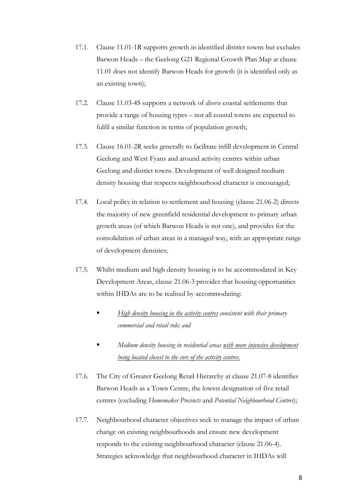- 17.1. Clause 11.01-1R supports growth in identified district towns but excludes Barwon Heads – the Geelong G21 Regional Growth Plan Map at clause 11.01 does not identify Barwon Heads for growth (it is identified only as an existing town);
- 17.2. Clause 11.03-4S supports a network of *diverse* coastal settlements that provide a range of housing types – not all coastal towns are expected to fulfil a similar function in terms of population growth;
- 17.3. Clause 16.01-2R seeks generally to facilitate infill development in Central Geelong and West Fyans and around activity centres within urban Geelong and district towns. Development of well designed medium density housing that respects neighbourhood character is encouraged;
- 17.4. Local policy in relation to settlement and housing (clause 21.06-2) directs the majority of new greenfield residential development to primary urban growth areas (of which Barwon Heads is not one), and provides for the consolidation of urban areas in a managed way, with an appropriate range of development densities;
- 17.5. Whilst medium and high density housing is to be accommodated in Key Development Areas, clause 21.06-3 provides that housing opportunities within IHDAs are to be realised by accommodating:
	- § *High density housing in the activity centres consistent with their primary commercial and retail role; and*
	- § *Medium density housing in residential areas with more intensive development being located closest to the core of the activity centres.*
- 17.6. The City of Greater Geelong Retail Hierarchy at clause 21.07-8 identifies Barwon Heads as a Town Centre, the lowest designation of five retail centres (excluding *Homemaker Precincts* and *Potential Neighbourhood Centres*);
- 17.7. Neighbourhood character objectives seek to manage the impact of urban change on existing neighbourhoods and ensure new development responds to the existing neighbourhood character (clause 21.06-4). Strategies acknowledge that neighbourhood character in IHDAs will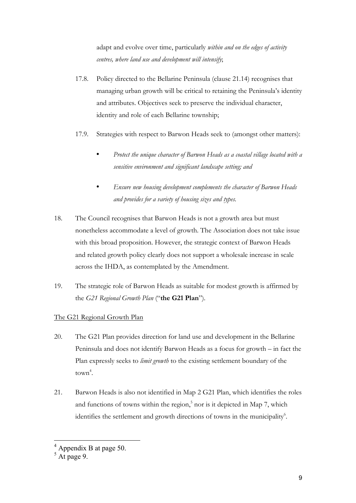adapt and evolve over time, particularly *within and on the edges of activity centres, where land use and development will intensify*;

- 17.8. Policy directed to the Bellarine Peninsula (clause 21.14) recognises that managing urban growth will be critical to retaining the Peninsula's identity and attributes. Objectives seek to preserve the individual character, identity and role of each Bellarine township;
- 17.9. Strategies with respect to Barwon Heads seek to (amongst other matters):
	- *Protect the unique character of Barwon Heads as a coastal village located with a sensitive environment and significant landscape setting; and*
	- *Ensure new housing development complements the character of Barwon Heads and provides for a variety of housing sizes and types.*
- 18. The Council recognises that Barwon Heads is not a growth area but must nonetheless accommodate a level of growth. The Association does not take issue with this broad proposition. However, the strategic context of Barwon Heads and related growth policy clearly does not support a wholesale increase in scale across the IHDA, as contemplated by the Amendment.
- 19. The strategic role of Barwon Heads as suitable for modest growth is affirmed by the *G21 Regional Growth Plan* ("**the G21 Plan**")*.*

# The G21 Regional Growth Plan

- 20. The G21 Plan provides direction for land use and development in the Bellarine Peninsula and does not identify Barwon Heads as a focus for growth – in fact the Plan expressly seeks to *limit growth* to the existing settlement boundary of the town<sup>4</sup>.
- 21. Barwon Heads is also not identified in Map 2 G21 Plan, which identifies the roles and functions of towns within the region, $5$  nor is it depicted in Map 7, which identifies the settlement and growth directions of towns in the municipality<sup>6</sup>.

 <sup>4</sup> Appendix B at page 50.

 $5 \text{ At } \text{page } 9$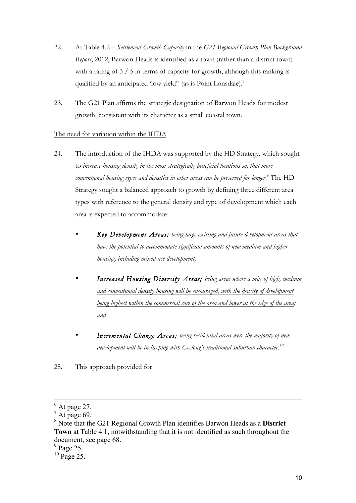- 22. At Table 4.2 *Settlement Growth Capacity* in the *G21 Regional Growth Plan Background Report*, 2012, Barwon Heads is identified as a town (rather than a district town) with a rating of 3 / 5 in terms of capacity for growth, although this ranking is qualified by an anticipated 'low yield'<sup>7</sup> (as is Point Lonsdale).<sup>8</sup>
- 23. The G21 Plan affirms the strategic designation of Barwon Heads for modest growth, consistent with its character as a small coastal town.

# The need for variation within the IHDA

- 24. The introduction of the IHDA was supported by the HD Strategy, which sought to *increase housing density in the most strategically beneficial locations so, that more conventional housing types and densities in other areas can be preserved for longer*. <sup>9</sup> The HD Strategy sought a balanced approach to growth by defining three different area types with reference to the general density and type of development which each area is expected to accommodate:
	- *Key Development Areas; being large existing and future development areas that have the potential to accommodate significant amounts of new medium and higher housing, including mixed use development;*
	- *Increased Housing Diversity Areas; being areas where a mix of high, medium and conventional density housing will be encouraged, with the density of development being highest within the commercial core of the area and lower at the edge of the area; and*
	- *Incremental Change Areas; being residential areas were the majority of new development will be in keeping with Geelong's traditional suburban character.10*
- 25. This approach provided for

 $<sup>6</sup>$  At page 27.</sup>

 $^7$  At page 69.

<sup>8</sup> Note that the G21 Regional Growth Plan identifies Barwon Heads as a **District Town** at Table 4.1, notwithstanding that it is not identified as such throughout the document, see page 68.

 $9$  Page 25.

 $10$  Page 25.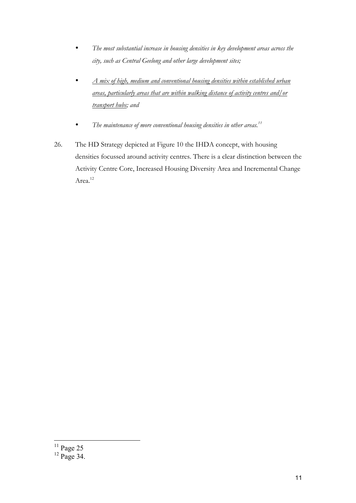- *The most substantial increase in housing densities in key development areas across the city, such as Central Geelong and other large development sites;*
- *A mix of high, medium and conventional housing densities within established urban areas, particularly areas that are within walking distance of activity centres and/or transport hubs; and*
- *The maintenance of more conventional housing densities in other areas.11*
- 26. The HD Strategy depicted at Figure 10 the IHDA concept, with housing densities focussed around activity centres. There is a clear distinction between the Activity Centre Core, Increased Housing Diversity Area and Incremental Change Area.<sup>12</sup>

 $\frac{11 \text{ Page } 25}{\text{Page } 25}$ 

 $12$  Page 34.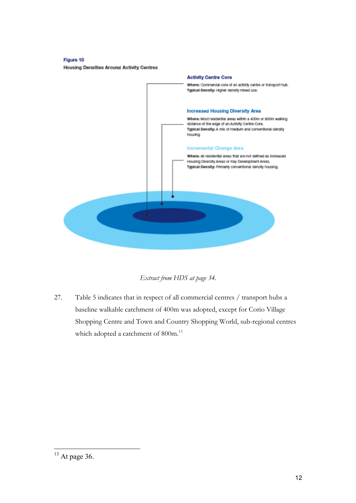Figure 10 **Housing Densities Around Activity Centres** 



*Extract from HDS at page 34.*

27. Table 5 indicates that in respect of all commercial centres / transport hubs a baseline walkable catchment of 400m was adopted, except for Corio Village Shopping Centre and Town and Country Shopping World, sub-regional centres which adopted a catchment of 800m.<sup>13</sup>

 $13$  At page 36.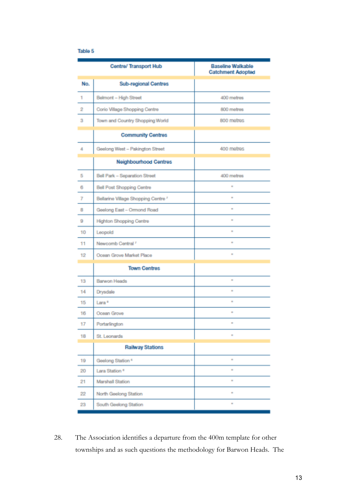## Table 5

|     | <b>Centre/ Transport Hub</b>        | <b>Baseline Walkable</b><br><b>Catchment Adopted</b> |
|-----|-------------------------------------|------------------------------------------------------|
| No. | <b>Sub-regional Centres</b>         |                                                      |
| 1   | Belmont - High Street               | 400 metres                                           |
| 2   | Corio Village Shopping Centre       | 800 metres                                           |
| з   | Town and Country Shopping World     | 800 metres                                           |
|     | <b>Community Centres</b>            |                                                      |
| 4   | Geelong West - Pakington Street     | 400 metres                                           |
|     | <b>Neighbourhood Centres</b>        |                                                      |
| 5   | Bell Park - Separation Street       | 400 metres                                           |
| 6   | <b>Bell Post Shopping Centre</b>    | ×                                                    |
| 7   | Bellarine Village Shopping Centre 7 | $\sim$                                               |
| 8   | Geelong East - Ormond Road          | $\mathbf{r}$                                         |
| 9   | <b>Highton Shopping Centre</b>      | $\mathbf{r}$                                         |
| 10  | Leopold                             | $\mathbf{r}$                                         |
| 11  | Newcomb Central <sup>7</sup>        | ×                                                    |
| 12  | Ocean Grove Market Place            | $\mathbf{r}$                                         |
|     | <b>Town Centres</b>                 |                                                      |
| 13  | <b>Barwon Heads</b>                 | $\sim$                                               |
| 14  | Drysdale                            | $\mathbf{r}$                                         |
| 15  | Lara <sup>a</sup>                   | $\mathbf{e}$                                         |
| 16  | Ocean Grove                         | $\sim$                                               |
| 17  | Portarlington                       | $\sim$                                               |
| 18  | St. Leonards                        | ٠                                                    |
|     | <b>Railway Stations</b>             |                                                      |
| 19  | Geelong Station <sup>6</sup>        | ٠                                                    |
| 20  | Lara Station <sup>®</sup>           | $\mathbf{r}$                                         |
| 21  | Marshall Station                    | $\pm$                                                |
| 22  | North Geelong Station               | ٠                                                    |
| 23  | South Geelong Station               | ٠                                                    |

28. The Association identifies a departure from the 400m template for other townships and as such questions the methodology for Barwon Heads. The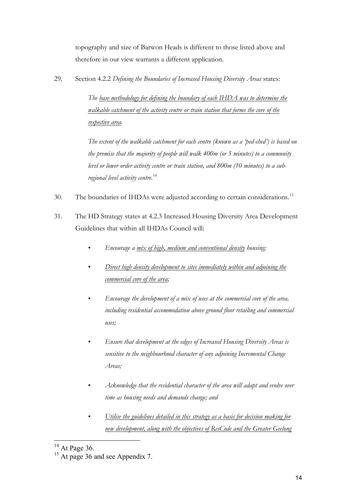topography and size of Barwon Heads is different to those listed above and therefore in our view warrants a different application.

29. Section 4.2.2 *Defining the Boundaries of Increased Housing Diversity Areas* states:

*The base methodology for defining the boundary of each IHDA was to determine the walkable catchment of the activity centre or train station that forms the core of the respective area.* 

*The extent of the walkable catchment for each centre (known as a 'ped-shed') is based on the premise that the majority of people will walk 400m (or 5 minutes) to a community level or lower order activity centre or train station, and 800m (10 minutes) to a subregional level activity centre.14*

- 30. The boundaries of IHDAs were adjusted according to certain considerations.<sup>15</sup>
- 31. The HD Strategy states at 4.2.3 Increased Housing Diversity Area Development Guidelines that within all IHDAs Council will:
	- *Encourage a mix of high, medium and conventional density housing;*
	- *Direct high density development to sites immediately within and adjoining the commercial core of the area;*
	- *Encourage the development of a mix of uses at the commercial core of the area, including residential accommodation above ground floor retailing and commercial uses;*
	- *Ensure that development at the edges of Increased Housing Diversity Areas is sensitive to the neighbourhood character of any adjoining Incremental Change Areas;*
	- *Acknowledge that the residential character of the area will adapt and evolve over time as housing needs and demands change; and*
	- *Utilise the guidelines detailed in this strategy as a basis for decision making for new development, along with the objectives of ResCode and the Greater Geelong*

 $14$  At Page 36.

<sup>&</sup>lt;sup>15</sup> At page 36 and see Appendix 7.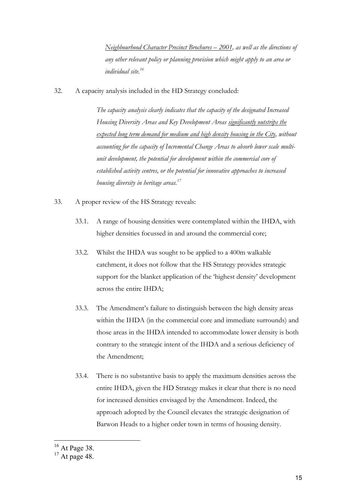*Neighbourhood Character Precinct Brochures – 2001, as well as the directions of any other relevant policy or planning provision which might apply to an area or individual site.16*

32. A capacity analysis included in the HD Strategy concluded:

*The capacity analysis clearly indicates that the capacity of the designated Increased Housing Diversity Areas and Key Development Areas significantly outstrips the expected long term demand for medium and high density housing in the City, without accounting for the capacity of Incremental Change Areas to absorb lower scale multiunit development, the potential for development within the commercial core of established activity centres, or the potential for innovative approaches to increased housing diversity in heritage areas.17*

- 33. A proper review of the HS Strategy reveals:
	- 33.1. A range of housing densities were contemplated within the IHDA, with higher densities focussed in and around the commercial core;
	- 33.2. Whilst the IHDA was sought to be applied to a 400m walkable catchment, it does not follow that the HS Strategy provides strategic support for the blanket application of the 'highest density' development across the entire IHDA;
	- 33.3. The Amendment's failure to distinguish between the high density areas within the IHDA (in the commercial core and immediate surrounds) and those areas in the IHDA intended to accommodate lower density is both contrary to the strategic intent of the IHDA and a serious deficiency of the Amendment;
	- 33.4. There is no substantive basis to apply the maximum densities across the entire IHDA, given the HD Strategy makes it clear that there is no need for increased densities envisaged by the Amendment. Indeed, the approach adopted by the Council elevates the strategic designation of Barwon Heads to a higher order town in terms of housing density.

<sup>&</sup>lt;sup>16</sup> At Page 38.

 $17$  At page 48.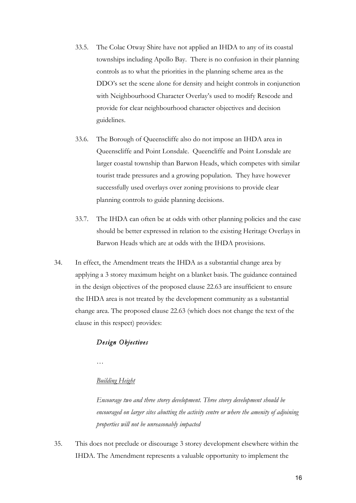- 33.5. The Colac Otway Shire have not applied an IHDA to any of its coastal townships including Apollo Bay. There is no confusion in their planning controls as to what the priorities in the planning scheme area as the DDO's set the scene alone for density and height controls in conjunction with Neighbourhood Character Overlay's used to modify Rescode and provide for clear neighbourhood character objectives and decision guidelines.
- 33.6. The Borough of Queenscliffe also do not impose an IHDA area in Queenscliffe and Point Lonsdale. Queencliffe and Point Lonsdale are larger coastal township than Barwon Heads, which competes with similar tourist trade pressures and a growing population. They have however successfully used overlays over zoning provisions to provide clear planning controls to guide planning decisions.
- 33.7. The IHDA can often be at odds with other planning policies and the case should be better expressed in relation to the existing Heritage Overlays in Barwon Heads which are at odds with the IHDA provisions.
- 34. In effect, the Amendment treats the IHDA as a substantial change area by applying a 3 storey maximum height on a blanket basis. The guidance contained in the design objectives of the proposed clause 22.63 are insufficient to ensure the IHDA area is not treated by the development community as a substantial change area. The proposed clause 22.63 (which does not change the text of the clause in this respect) provides:

## *Design Objectives*

*…*

## *Building Height*

*Encourage two and three storey development. Three storey development should be encouraged on larger sites abutting the activity centre or where the amenity of adjoining properties will not be unreasonably impacted*

35. This does not preclude or discourage 3 storey development elsewhere within the IHDA. The Amendment represents a valuable opportunity to implement the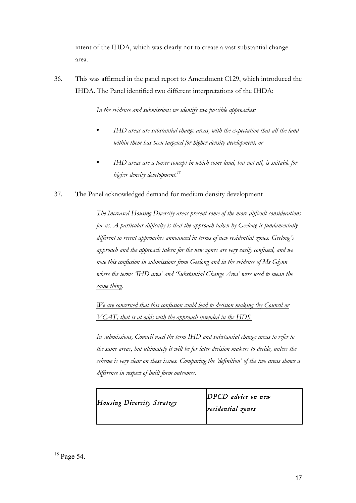intent of the IHDA, which was clearly not to create a vast substantial change area.

36. This was affirmed in the panel report to Amendment C129, which introduced the IHDA. The Panel identified two different interpretations of the IHDA:

*In the evidence and submissions we identify two possible approaches:* 

- *IHD areas are substantial change areas, with the expectation that all the land within them has been targeted for higher density development, or*
- *IHD areas are a looser concept in which some land, but not all, is suitable for higher density development.18*
- 37. The Panel acknowledged demand for medium density development

*The Increased Housing Diversity areas present some of the more difficult considerations for us. A particular difficulty is that the approach taken by Geelong is fundamentally different to recent approaches announced in terms of new residential zones. Geelong's approach and the approach taken for the new zones are very easily confused, and we note this confusion in submissions from Geelong and in the evidence of Ms Glynn where the terms 'IHD area' and 'Substantial Change Area' were used to mean the same thing.* 

*We are concerned that this confusion could lead to decision making (by Council or VCAT) that is at odds with the approach intended in the HDS.* 

*In submissions, Council used the term IHD and substantial change areas to refer to the same areas, but ultimately it will be for later decision makers to decide, unless the scheme is very clear on these issues. Comparing the 'definition' of the two areas shows a difference in respect of built form outcomes.* 

| Housing Diversity Strategy | $DPCD$ advice on new<br>residential zones |
|----------------------------|-------------------------------------------|
|                            |                                           |

<sup>&</sup>lt;sup>18</sup> Page 54.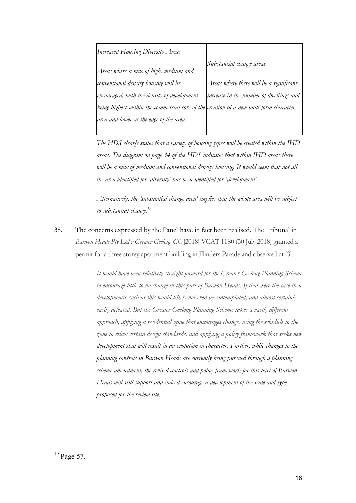| <b>Increased Housing Diversity Areas</b>                                                |                                         |
|-----------------------------------------------------------------------------------------|-----------------------------------------|
| Areas where a mix of high, medium and                                                   | Substantial change areas                |
| conventional density housing will be                                                    | Areas where there will be a significant |
| encouraged, with the density of development                                             | increase in the number of dwellings and |
| being highest within the commercial core of the creation of a new built form character. |                                         |
| area and lower at the edge of the area.                                                 |                                         |
|                                                                                         |                                         |

*The HDS clearly states that a variety of housing types will be created within the IHD areas. The diagram on page 34 of the HDS indicates that within IHD areas there*  will be a mix of medium and conventional density housing. It would seem that not all *the area identified for 'diversity' has been identified for 'development'.* 

*Alternatively, the 'substantial change area' implies that the whole area will be subject to substantial change.19*

38. The concerns expressed by the Panel have in fact been realised. The Tribunal in *Barwon Heads Pty Ltd v Greater Geelong CC* [2018] VCAT 1180 (30 July 2018) granted a permit for a three storey apartment building in Flinders Parade and observed at [3]:

> *It would have been relatively straight-forward for the Greater Geelong Planning Scheme to encourage little to no change in this part of Barwon Heads. If that were the case then developments such as this would likely not even be contemplated, and almost certainly*  easily defeated. But the Greater Geelong Planning Scheme takes a vastly different *approach, applying a residential zone that encourages change, using the schedule to the zone to relax certain design standards, and applying a policy framework that seeks new development that will result in an evolution in character. Further, while changes to the planning controls in Barwon Heads are currently being pursued through a planning scheme amendment, the revised controls and policy framework for this part of Barwon Heads will still support and indeed encourage a development of the scale and type proposed for the review site.*

 $19$  Page 57.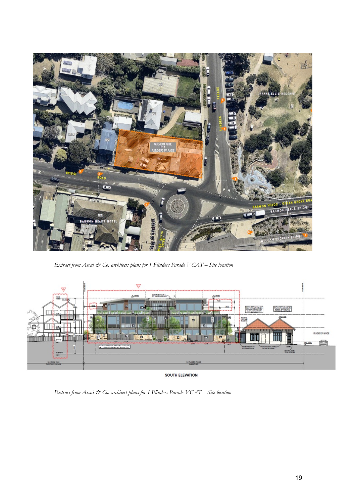

*Extract from Ascui & Co. architects plans for 1 Flinders Parade VCAT – Site location*



SOUTH ELEVATION

*Extract from Ascui & Co. architect plans for 1 Flinders Parade VCAT – Site location*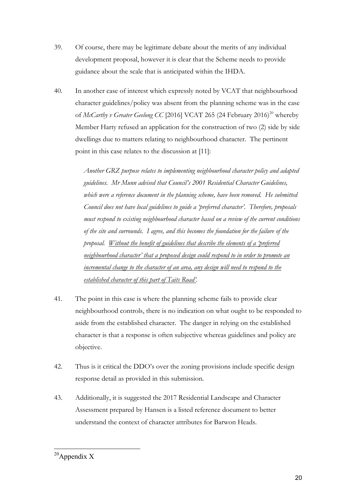- 39. Of course, there may be legitimate debate about the merits of any individual development proposal, however it is clear that the Scheme needs to provide guidance about the scale that is anticipated within the IHDA.
- 40. In another case of interest which expressly noted by VCAT that neighbourhood character guidelines/policy was absent from the planning scheme was in the case of *McCarthy v Greater Geelong CC* [2016] VCAT 265 (24 February 2016)<sup>20</sup> whereby Member Harty refused an application for the construction of two (2) side by side dwellings due to matters relating to neighbourhood character. The pertinent point in this case relates to the discussion at [11]:

*Another GRZ purpose relates to implementing neighbourhood character policy and adapted guidelines. Mr Munn advised that Council's 2001 Residential Character Guidelines, which were a reference document in the planning scheme, have been removed. He submitted Council does not have local guidelines to guide a 'preferred character'. Therefore, proposals must respond to existing neighbourhood character based on a review of the current conditions of the site and surrounds. I agree, and this becomes the foundation for the failure of the proposal. Without the benefit of guidelines that describe the elements of a 'preferred neighbourhood character' that a proposed design could respond to in order to promote an incremental change to the character of an area, any design will need to respond to the established character of this part of Taits Road'.*

- 41. The point in this case is where the planning scheme fails to provide clear neighbourhood controls, there is no indication on what ought to be responded to aside from the established character. The danger in relying on the established character is that a response is often subjective whereas guidelines and policy are objective.
- 42. Thus is it critical the DDO's over the zoning provisions include specific design response detail as provided in this submission.
- 43. Additionally, it is suggested the 2017 Residential Landscape and Character Assessment prepared by Hansen is a listed reference document to better understand the context of character attributes for Barwon Heads.

 $20$ Appendix X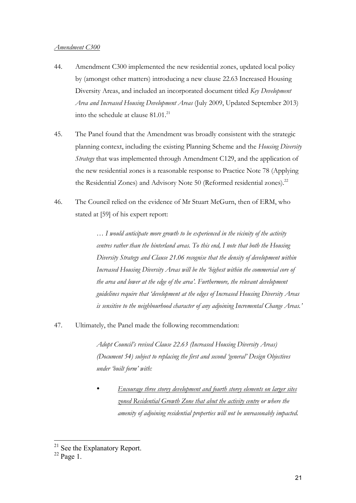## *Amendment C300*

- 44. Amendment C300 implemented the new residential zones, updated local policy by (amongst other matters) introducing a new clause 22.63 Increased Housing Diversity Areas, and included an incorporated document titled *Key Development Area and Increased Housing Development Areas* (July 2009, Updated September 2013) into the schedule at clause 81.01.<sup>21</sup>
- 45. The Panel found that the Amendment was broadly consistent with the strategic planning context, including the existing Planning Scheme and the *Housing Diversity Strategy* that was implemented through Amendment C129, and the application of the new residential zones is a reasonable response to Practice Note 78 (Applying the Residential Zones) and Advisory Note 50 (Reformed residential zones).<sup>22</sup>
- 46. The Council relied on the evidence of Mr Stuart McGurn, then of ERM, who stated at [59] of his expert report:

*… I would anticipate more growth to be experienced in the vicinity of the activity centres rather than the hinterland areas. To this end, I note that both the Housing Diversity Strategy and Clause 21.06 recognise that the density of development within Increased Housing Diversity Areas will be the 'highest within the commercial core of the area and lower at the edge of the area'. Furthermore, the relevant development guidelines require that 'development at the edges of Increased Housing Diversity Areas is sensitive to the neighbourhood character of any adjoining Incremental Change Areas.'* 

47. Ultimately, the Panel made the following recommendation:

*Adopt Council's revised Clause 22.63 (Increased Housing Diversity Areas) (Document 54) subject to replacing the first and second 'general' Design Objectives under 'built form' with:*

• *Encourage three storey development and fourth storey elements on larger sites zoned Residential Growth Zone that abut the activity centre or where the amenity of adjoining residential properties will not be unreasonably impacted.*

<sup>&</sup>lt;sup>21</sup> See the Explanatory Report.

 $22$  Page 1.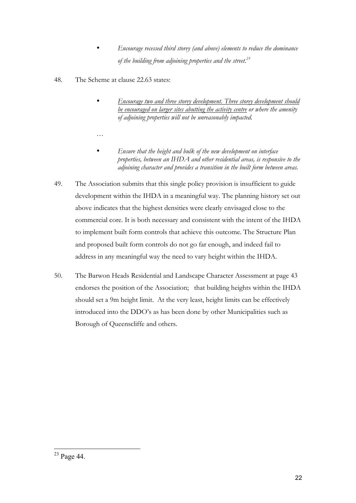- *Encourage recessed third storey (and above) elements to reduce the dominance of the building from adjoining properties and the street.23*
- 48. The Scheme at clause 22.63 states:

*…*

- *Encourage two and three storey development. Three storey development should be encouraged on larger sites abutting the activity centre or where the amenity of adjoining properties will not be unreasonably impacted.*
- *Ensure that the height and bulk of the new development on interface properties, between an IHDA and other residential areas, is responsive to the adjoining character and provides a transition in the built form between areas.*
- 49. The Association submits that this single policy provision is insufficient to guide development within the IHDA in a meaningful way. The planning history set out above indicates that the highest densities were clearly envisaged close to the commercial core. It is both necessary and consistent with the intent of the IHDA to implement built form controls that achieve this outcome. The Structure Plan and proposed built form controls do not go far enough, and indeed fail to address in any meaningful way the need to vary height within the IHDA.
- 50. The Barwon Heads Residential and Landscape Character Assessment at page 43 endorses the position of the Association; that building heights within the IHDA should set a 9m height limit. At the very least, height limits can be effectively introduced into the DDO's as has been done by other Municipalities such as Borough of Queenscliffe and others.

 <sup>23</sup> Page 44.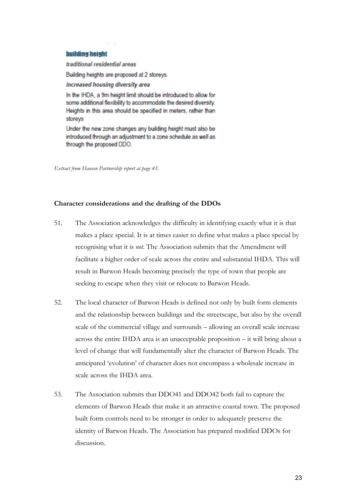### **building height**

traditional residential areas

Building heights are proposed at 2 storeys.

increased housing diversity area

In the IHDA, a 9m height limit should be introduced to allow for some additional flexibility to accommodate the desired diversity. Heights in this area should be specified in meters, rather than storeys

Under the new zone changes any building height must also be introduced through an adjustment to a zone schedule as well as through the proposed DDO.

*Extract from Hansen Partnership report at page 43.*

## **Character considerations and the drafting of the DDOs**

- 51. The Association acknowledges the difficulty in identifying exactly what it is that makes a place special. It is at times easier to define what makes a place special by recognising what it is *not*. The Association submits that the Amendment will facilitate a higher order of scale across the entire and substantial IHDA. This will result in Barwon Heads becoming precisely the type of town that people are seeking to escape when they visit or relocate to Barwon Heads.
- 52. The local character of Barwon Heads is defined not only by built form elements and the relationship between buildings and the streetscape, but also by the overall scale of the commercial village and surrounds – allowing an overall scale increase across the entire IHDA area is an unacceptable proposition – it will bring about a level of change that will fundamentally alter the character of Barwon Heads. The anticipated 'evolution' of character does not encompass a wholesale increase in scale across the IHDA area.
- 53. The Association submits that DDO41 and DDO42 both fail to capture the elements of Barwon Heads that make it an attractive coastal town. The proposed built form controls need to be stronger in order to adequately preserve the identity of Barwon Heads. The Association has prepared modified DDOs for discussion.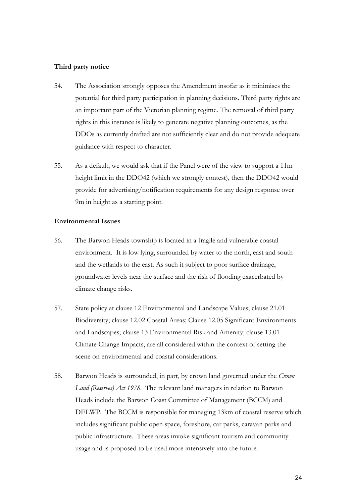## **Third party notice**

- 54. The Association strongly opposes the Amendment insofar as it minimises the potential for third party participation in planning decisions. Third party rights are an important part of the Victorian planning regime. The removal of third party rights in this instance is likely to generate negative planning outcomes, as the DDOs as currently drafted are not sufficiently clear and do not provide adequate guidance with respect to character.
- 55. As a default, we would ask that if the Panel were of the view to support a 11m height limit in the DDO42 (which we strongly contest), then the DDO42 would provide for advertising/notification requirements for any design response over 9m in height as a starting point.

## **Environmental Issues**

- 56. The Barwon Heads township is located in a fragile and vulnerable coastal environment. It is low lying, surrounded by water to the north, east and south and the wetlands to the east. As such it subject to poor surface drainage, groundwater levels near the surface and the risk of flooding exacerbated by climate change risks.
- 57. State policy at clause 12 Environmental and Landscape Values; clause 21.01 Biodiversity; clause 12.02 Coastal Areas; Clause 12.05 Significant Environments and Landscapes; clause 13 Environmental Risk and Amenity; clause 13.01 Climate Change Impacts, are all considered within the context of setting the scene on environmental and coastal considerations.
- 58. Barwon Heads is surrounded, in part, by crown land governed under the *Crown Land (Reserves) Act 1978*. The relevant land managers in relation to Barwon Heads include the Barwon Coast Committee of Management (BCCM) and DELWP. The BCCM is responsible for managing 13km of coastal reserve which includes significant public open space, foreshore, car parks, caravan parks and public infrastructure. These areas invoke significant tourism and community usage and is proposed to be used more intensively into the future.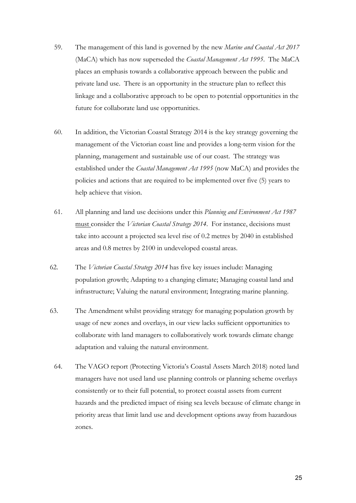- 59. The management of this land is governed by the new *Marine and Coastal Act 2017* (MaCA) which has now superseded the *Coastal Management Act 1995*. The MaCA places an emphasis towards a collaborative approach between the public and private land use. There is an opportunity in the structure plan to reflect this linkage and a collaborative approach to be open to potential opportunities in the future for collaborate land use opportunities.
- 60. In addition, the Victorian Coastal Strategy 2014 is the key strategy governing the management of the Victorian coast line and provides a long-term vision for the planning, management and sustainable use of our coast. The strategy was established under the *Coastal Management Act 1995* (now MaCA) and provides the policies and actions that are required to be implemented over five (5) years to help achieve that vision.
- 61. All planning and land use decisions under this *Planning and Environment Act 1987*  must consider the *Victorian Coastal Strategy 2014*. For instance, decisions must take into account a projected sea level rise of 0.2 metres by 2040 in established areas and 0.8 metres by 2100 in undeveloped coastal areas.
- 62. The *Victorian Coastal Strategy 2014* has five key issues include: Managing population growth; Adapting to a changing climate; Managing coastal land and infrastructure; Valuing the natural environment; Integrating marine planning.
- 63. The Amendment whilst providing strategy for managing population growth by usage of new zones and overlays, in our view lacks sufficient opportunities to collaborate with land managers to collaboratively work towards climate change adaptation and valuing the natural environment.
	- 64. The VAGO report (Protecting Victoria's Coastal Assets March 2018) noted land managers have not used land use planning controls or planning scheme overlays consistently or to their full potential, to protect coastal assets from current hazards and the predicted impact of rising sea levels because of climate change in priority areas that limit land use and development options away from hazardous zones.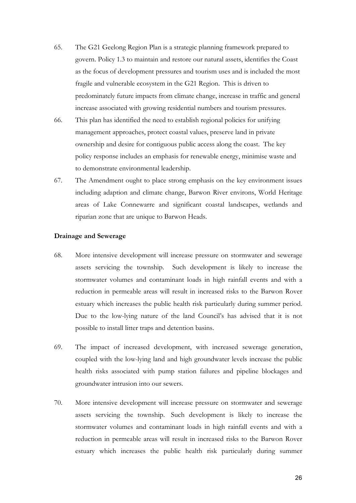- 65. The G21 Geelong Region Plan is a strategic planning framework prepared to govern. Policy 1.3 to maintain and restore our natural assets, identifies the Coast as the focus of development pressures and tourism uses and is included the most fragile and vulnerable ecosystem in the G21 Region. This is driven to predominately future impacts from climate change, increase in traffic and general increase associated with growing residential numbers and tourism pressures.
- 66. This plan has identified the need to establish regional policies for unifying management approaches, protect coastal values, preserve land in private ownership and desire for contiguous public access along the coast. The key policy response includes an emphasis for renewable energy, minimise waste and to demonstrate environmental leadership.
- 67. The Amendment ought to place strong emphasis on the key environment issues including adaption and climate change, Barwon River environs, World Heritage areas of Lake Connewarre and significant coastal landscapes, wetlands and riparian zone that are unique to Barwon Heads.

## **Drainage and Sewerage**

- 68. More intensive development will increase pressure on stormwater and sewerage assets servicing the township. Such development is likely to increase the stormwater volumes and contaminant loads in high rainfall events and with a reduction in permeable areas will result in increased risks to the Barwon Rover estuary which increases the public health risk particularly during summer period. Due to the low-lying nature of the land Council's has advised that it is not possible to install litter traps and detention basins.
- 69. The impact of increased development, with increased sewerage generation, coupled with the low-lying land and high groundwater levels increase the public health risks associated with pump station failures and pipeline blockages and groundwater intrusion into our sewers.
- 70. More intensive development will increase pressure on stormwater and sewerage assets servicing the township. Such development is likely to increase the stormwater volumes and contaminant loads in high rainfall events and with a reduction in permeable areas will result in increased risks to the Barwon Rover estuary which increases the public health risk particularly during summer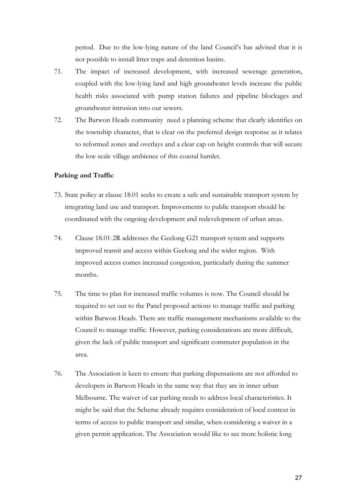period. Due to the low-lying nature of the land Council's has advised that it is not possible to install litter traps and detention basins.

- 71. The impact of increased development, with increased sewerage generation, coupled with the low-lying land and high groundwater levels increase the public health risks associated with pump station failures and pipeline blockages and groundwater intrusion into our sewers.
- 72. The Barwon Heads community need a planning scheme that clearly identifies on the township character, that is clear on the preferred design response as it relates to reformed zones and overlays and a clear cap on height controls that will secure the low scale village ambience of this coastal hamlet.

## **Parking and Traffic**

- 73. State policy at clause 18.01 seeks to create a safe and sustainable transport system by integrating land use and transport. Improvements to public transport should be coordinated with the ongoing development and redevelopment of urban areas.
- 74. Clause 18.01-2R addresses the Geelong G21 transport system and supports improved transit and access within Geelong and the wider region. With improved access comes increased congestion, particularly during the summer months.
- 75. The time to plan for increased traffic volumes is now. The Council should be required to set out to the Panel proposed actions to manage traffic and parking within Barwon Heads. There are traffic management mechanisms available to the Council to manage traffic. However, parking considerations are more difficult, given the lack of public transport and significant commuter population in the area.
- 76. The Association is keen to ensure that parking dispensations are not afforded to developers in Barwon Heads in the same way that they are in inner urban Melbourne. The waiver of car parking needs to address local characteristics. It might be said that the Scheme already requires consideration of local context in terms of access to public transport and similar, when considering a waiver in a given permit application. The Association would like to see more holistic long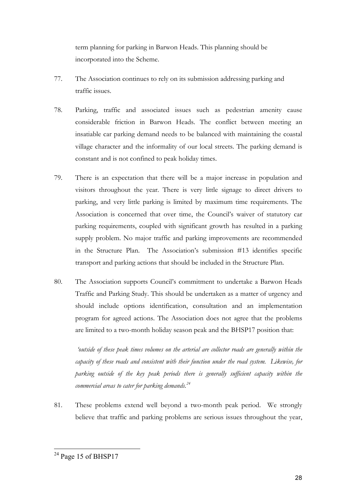term planning for parking in Barwon Heads. This planning should be incorporated into the Scheme.

- 77. The Association continues to rely on its submission addressing parking and traffic issues.
- 78. Parking, traffic and associated issues such as pedestrian amenity cause considerable friction in Barwon Heads. The conflict between meeting an insatiable car parking demand needs to be balanced with maintaining the coastal village character and the informality of our local streets. The parking demand is constant and is not confined to peak holiday times.
- 79. There is an expectation that there will be a major increase in population and visitors throughout the year. There is very little signage to direct drivers to parking, and very little parking is limited by maximum time requirements. The Association is concerned that over time, the Council's waiver of statutory car parking requirements, coupled with significant growth has resulted in a parking supply problem. No major traffic and parking improvements are recommended in the Structure Plan. The Association's submission #13 identifies specific transport and parking actions that should be included in the Structure Plan.
- 80. The Association supports Council's commitment to undertake a Barwon Heads Traffic and Parking Study. This should be undertaken as a matter of urgency and should include options identification, consultation and an implementation program for agreed actions. The Association does not agree that the problems are limited to a two-month holiday season peak and the BHSP17 position that:

*'outside of these peak times volumes on the arterial are collector roads are generally within the capacity of these roads and consistent with their function under the road system. Likewise, for parking outside of the key peak periods there is generally sufficient capacity within the commercial areas to cater for parking demands.24*

81. These problems extend well beyond a two-month peak period. We strongly believe that traffic and parking problems are serious issues throughout the year,

 $24$  Page 15 of BHSP17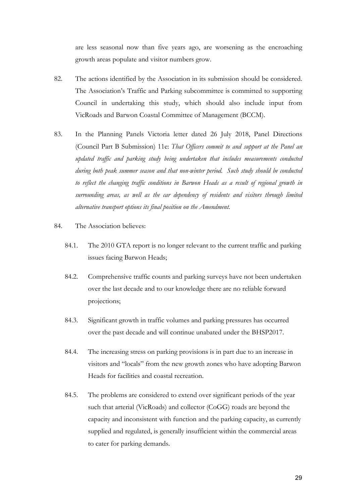are less seasonal now than five years ago, are worsening as the encroaching growth areas populate and visitor numbers grow.

- 82. The actions identified by the Association in its submission should be considered. The Association's Traffic and Parking subcommittee is committed to supporting Council in undertaking this study, which should also include input from VicRoads and Barwon Coastal Committee of Management (BCCM).
- 83. In the Planning Panels Victoria letter dated 26 July 2018, Panel Directions (Council Part B Submission) 11e: *That Officers commit to and support at the Panel an updated traffic and parking study being undertaken that includes measurements conducted during both peak summer season and that non-winter period. Such study should be conducted to reflect the changing traffic conditions in Barwon Heads as a result of regional growth in surrounding areas, as well as the car dependency of residents and visitors through limited alternative transport options its final position on the Amendment.*
- 84. The Association believes:
	- 84.1. The 2010 GTA report is no longer relevant to the current traffic and parking issues facing Barwon Heads;
	- 84.2. Comprehensive traffic counts and parking surveys have not been undertaken over the last decade and to our knowledge there are no reliable forward projections;
	- 84.3. Significant growth in traffic volumes and parking pressures has occurred over the past decade and will continue unabated under the BHSP2017.
	- 84.4. The increasing stress on parking provisions is in part due to an increase in visitors and "locals" from the new growth zones who have adopting Barwon Heads for facilities and coastal recreation.
	- 84.5. The problems are considered to extend over significant periods of the year such that arterial (VicRoads) and collector (CoGG) roads are beyond the capacity and inconsistent with function and the parking capacity, as currently supplied and regulated, is generally insufficient within the commercial areas to cater for parking demands.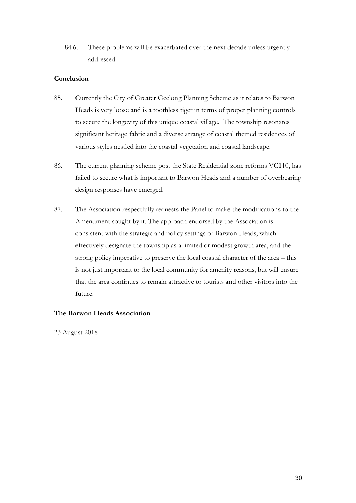84.6. These problems will be exacerbated over the next decade unless urgently addressed.

## **Conclusion**

- 85. Currently the City of Greater Geelong Planning Scheme as it relates to Barwon Heads is very loose and is a toothless tiger in terms of proper planning controls to secure the longevity of this unique coastal village. The township resonates significant heritage fabric and a diverse arrange of coastal themed residences of various styles nestled into the coastal vegetation and coastal landscape.
- 86. The current planning scheme post the State Residential zone reforms VC110, has failed to secure what is important to Barwon Heads and a number of overbearing design responses have emerged.
- 87. The Association respectfully requests the Panel to make the modifications to the Amendment sought by it. The approach endorsed by the Association is consistent with the strategic and policy settings of Barwon Heads, which effectively designate the township as a limited or modest growth area, and the strong policy imperative to preserve the local coastal character of the area – this is not just important to the local community for amenity reasons, but will ensure that the area continues to remain attractive to tourists and other visitors into the future.

## **The Barwon Heads Association**

23 August 2018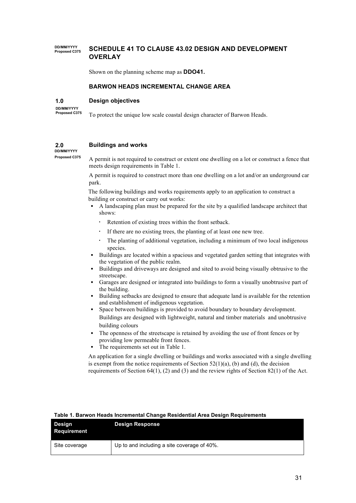#### **DD/MM/YYYY PCHEDULE 41 TO CLAUSE 43.02 DESIGN AND DEVELOPMENT OVERLAY**

Shown on the planning scheme map as **DDO41.**

#### **BARWON HEADS INCREMENTAL CHANGE AREA**

#### **1.0 Design objectives**

**DD/MM/YYYY Proposed C375**

To protect the unique low scale coastal design character of Barwon Heads.

#### **2.0 Buildings and works**

# **DD/MM/YYYY**

**Proposed C375** 

A permit is not required to construct or extent one dwelling on a lot or construct a fence that meets design requirements in Table 1.

A permit is required to construct more than one dwelling on a lot and/or an underground car park.

The following buildings and works requirements apply to an application to construct a building or construct or carry out works:

- § A landscaping plan must be prepared for the site by a qualified landscape architect that shows:
	- Retention of existing trees within the front setback.
	- If there are no existing trees, the planting of at least one new tree.
	- The planting of additional vegetation, including a minimum of two local indigenous species.
- § Buildings are located within a spacious and vegetated garden setting that integrates with the vegetation of the public realm.
- § Buildings and driveways are designed and sited to avoid being visually obtrusive to the streetscape.
- § Garages are designed or integrated into buildings to form a visually unobtrusive part of the building.
- § Building setbacks are designed to ensure that adequate land is available for the retention and establishment of indigenous vegetation.
- Space between buildings is provided to avoid boundary to boundary development. Buildings are designed with lightweight, natural and timber materials and unobtrusive building colours
- The openness of the streetscape is retained by avoiding the use of front fences or by providing low permeable front fences.
- The requirements set out in Table 1.

An application for a single dwelling or buildings and works associated with a single dwelling is exempt from the notice requirements of Section  $52(1)(a)$ , (b) and (d), the decision requirements of Section 64(1), (2) and (3) and the review rights of Section 82(1) of the Act.

| Table T. Dal Woh Heads Incremental Onalige Residential Area Design Requirements |                                             |  |
|---------------------------------------------------------------------------------|---------------------------------------------|--|
| Design<br>Requirement                                                           | <b>Design Response</b>                      |  |
| Site coverage                                                                   | Up to and including a site coverage of 40%. |  |

## **Table 1. Barwon Heads Incremental Change Residential Area Design Requirements**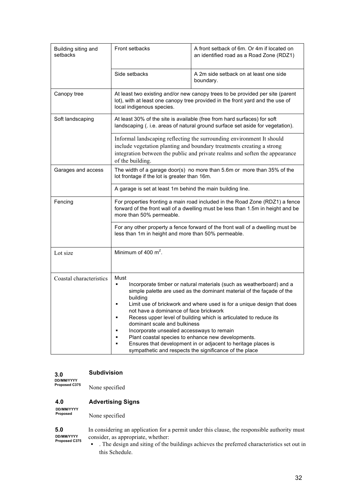| Building siting and<br>setbacks | Front setbacks                                                                                                                                                                                                                                                                                                                                                                                                                                                                                                                                                                                                                                               | A front setback of 6m. Or 4m if located on<br>an identified road as a Road Zone (RDZ1) |  |  |  |
|---------------------------------|--------------------------------------------------------------------------------------------------------------------------------------------------------------------------------------------------------------------------------------------------------------------------------------------------------------------------------------------------------------------------------------------------------------------------------------------------------------------------------------------------------------------------------------------------------------------------------------------------------------------------------------------------------------|----------------------------------------------------------------------------------------|--|--|--|
|                                 | Side setbacks                                                                                                                                                                                                                                                                                                                                                                                                                                                                                                                                                                                                                                                | A 2m side setback on at least one side<br>boundary.                                    |  |  |  |
| Canopy tree                     | At least two existing and/or new canopy trees to be provided per site (parent<br>lot), with at least one canopy tree provided in the front yard and the use of<br>local indigenous species.                                                                                                                                                                                                                                                                                                                                                                                                                                                                  |                                                                                        |  |  |  |
| Soft landscaping                | At least 30% of the site is available (free from hard surfaces) for soft<br>landscaping (. i.e. areas of natural ground surface set aside for vegetation).                                                                                                                                                                                                                                                                                                                                                                                                                                                                                                   |                                                                                        |  |  |  |
|                                 | Informal landscaping reflecting the surrounding environment It should<br>include vegetation planting and boundary treatments creating a strong<br>integration between the public and private realms and soften the appearance<br>of the building.                                                                                                                                                                                                                                                                                                                                                                                                            |                                                                                        |  |  |  |
| Garages and access              | The width of a garage door(s) no more than 5.6m or more than 35% of the<br>lot frontage if the lot is greater than 16m.                                                                                                                                                                                                                                                                                                                                                                                                                                                                                                                                      |                                                                                        |  |  |  |
|                                 | A garage is set at least 1m behind the main building line.                                                                                                                                                                                                                                                                                                                                                                                                                                                                                                                                                                                                   |                                                                                        |  |  |  |
| Fencing                         | For properties fronting a main road included in the Road Zone (RDZ1) a fence<br>forward of the front wall of a dwelling must be less than 1.5m in height and be<br>more than 50% permeable.                                                                                                                                                                                                                                                                                                                                                                                                                                                                  |                                                                                        |  |  |  |
|                                 | less than 1m in height and more than 50% permeable.                                                                                                                                                                                                                                                                                                                                                                                                                                                                                                                                                                                                          | For any other property a fence forward of the front wall of a dwelling must be         |  |  |  |
| Lot size                        | Minimum of 400 m <sup>2</sup> .                                                                                                                                                                                                                                                                                                                                                                                                                                                                                                                                                                                                                              |                                                                                        |  |  |  |
| Coastal characteristics         | Must<br>Incorporate timber or natural materials (such as weatherboard) and a<br>$\blacksquare$<br>simple palette are used as the dominant material of the façade of the<br>building<br>Limit use of brickwork and where used is for a unique design that does<br>not have a dominance of face brickwork<br>Recess upper level of building which is articulated to reduce its<br>dominant scale and bulkiness<br>Incorporate unsealed accessways to remain<br>$\blacksquare$<br>Plant coastal species to enhance new developments.<br>Ensures that development in or adjacent to heritage places is<br>sympathetic and respects the significance of the place |                                                                                        |  |  |  |

#### **3.0 Subdivision**

**DD/MM/YYYY Proposed C375**

None specified

#### **4.0 Advertising Signs**

**DD/MM/YYYY Proposed**

**Proposed C375**

None specified

**5.0 DD/MM/YYYY**  In considering an application for a permit under this clause, the responsible authority must consider, as appropriate, whether:

§ . The design and siting of the buildings achieves the preferred characteristics set out in this Schedule.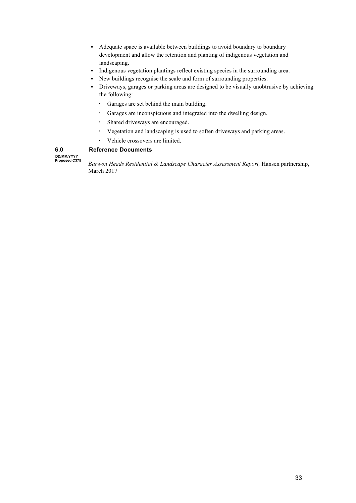- Adequate space is available between buildings to avoid boundary to boundary development and allow the retention and planting of indigenous vegetation and landscaping.
- Indigenous vegetation plantings reflect existing species in the surrounding area.
- New buildings recognise the scale and form of surrounding properties.
- § Driveways, garages or parking areas are designed to be visually unobtrusive by achieving the following:
	- Garages are set behind the main building.
	- Garages are inconspicuous and integrated into the dwelling design.
	- Shared driveways are encouraged.
	- Vegetation and landscaping is used to soften driveways and parking areas.
	- Vehicle crossovers are limited.

**6.0 DD/MM/YYYY**  **Reference Documents**

**Proposed C375**

*Barwon Heads Residential & Landscape Character Assessment Report,* Hansen partnership, March 2017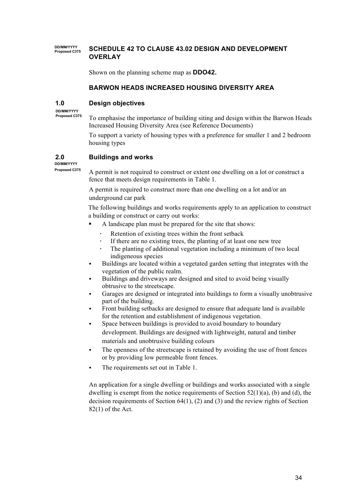#### **DD/MM/YYYY PCHEDULE 42 TO CLAUSE 43.02 DESIGN AND DEVELOPMENT OVERLAY**

Shown on the planning scheme map as **DDO42.**

## **BARWON HEADS INCREASED HOUSING DIVERSITY AREA**

#### **1.0 Design objectives**

**DD/MM/YYYY Proposed C375**

To emphasise the importance of building siting and design within the Barwon Heads Increased Housing Diversity Area (see Reference Documents)

To support a variety of housing types with a preference for smaller 1 and 2 bedroom housing types

#### **2.0 Buildings and works**

**DD/MM/YYYY Proposed C375** 

A permit is not required to construct or extent one dwelling on a lot or construct a fence that meets design requirements in Table 1.

A permit is required to construct more than one dwelling on a lot and/or an underground car park

The following buildings and works requirements apply to an application to construct a building or construct or carry out works:

- A landscape plan must be prepared for the site that shows:
	- Retention of existing trees within the front setback
	- If there are no existing trees, the planting of at least one new tree
	- The planting of additional vegetation including a minimum of two local indigeneous species
- § Buildings are located within a vegetated garden setting that integrates with the vegetation of the public realm.
- § Buildings and driveways are designed and sited to avoid being visually obtrusive to the streetscape.
- § Garages are designed or integrated into buildings to form a visually unobtrusive part of the building.
- § Front building setbacks are designed to ensure that adequate land is available for the retention and establishment of indigenous vegetation.
- § Space between buildings is provided to avoid boundary to boundary development. Buildings are designed with lightweight, natural and timber materials and unobtrusive building colours
- The openness of the streetscape is retained by avoiding the use of front fences or by providing low permeable front fences.
- The requirements set out in Table 1.

An application for a single dwelling or buildings and works associated with a single dwelling is exempt from the notice requirements of Section 52(1)(a), (b) and (d), the decision requirements of Section  $64(1)$ ,  $(2)$  and  $(3)$  and the review rights of Section 82(1) of the Act.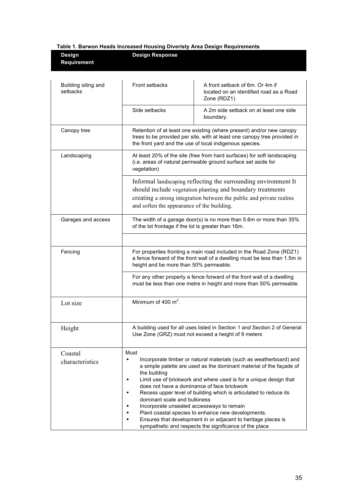|  |  |  |  | <b>Table 1. Barwon Heads Increased Housing Diveristy Area Design Requirements</b> |  |
|--|--|--|--|-----------------------------------------------------------------------------------|--|
|  |  |  |  |                                                                                   |  |

| Design<br>Requirement           | <b>Design Response</b>                                                                                                                                                                                                                            |                                                                                                                                                                                                                                                                                                                                                                                                                                                                                                                     |  |  |
|---------------------------------|---------------------------------------------------------------------------------------------------------------------------------------------------------------------------------------------------------------------------------------------------|---------------------------------------------------------------------------------------------------------------------------------------------------------------------------------------------------------------------------------------------------------------------------------------------------------------------------------------------------------------------------------------------------------------------------------------------------------------------------------------------------------------------|--|--|
| Building siting and<br>setbacks | Front setbacks                                                                                                                                                                                                                                    | A front setback of 6m. Or 4m if<br>located on an identified road as a Road<br>Zone (RDZ1)                                                                                                                                                                                                                                                                                                                                                                                                                           |  |  |
|                                 | Side setbacks                                                                                                                                                                                                                                     | A 2m side setback on at least one side<br>boundary.                                                                                                                                                                                                                                                                                                                                                                                                                                                                 |  |  |
| Canopy tree                     | Retention of at least one existing (where present) and/or new canopy<br>trees to be provided per site, with at least one canopy tree provided in<br>the front yard and the use of local indigenous species.                                       |                                                                                                                                                                                                                                                                                                                                                                                                                                                                                                                     |  |  |
| Landscaping                     | At least 20% of the site (free from hard surfaces) for soft landscaping<br>(i.e. areas of natural permeable ground surface set aside for<br>vegetation)                                                                                           |                                                                                                                                                                                                                                                                                                                                                                                                                                                                                                                     |  |  |
|                                 | Informal landscaping reflecting the surrounding environment It<br>should include vegetation planting and boundary treatments<br>creating a strong integration between the public and private realms<br>and soften the appearance of the building. |                                                                                                                                                                                                                                                                                                                                                                                                                                                                                                                     |  |  |
| Garages and access              | The width of a garage door(s) is no more than 5.6m or more than 35%<br>of the lot frontage if the lot is greater than 16m.                                                                                                                        |                                                                                                                                                                                                                                                                                                                                                                                                                                                                                                                     |  |  |
|                                 |                                                                                                                                                                                                                                                   |                                                                                                                                                                                                                                                                                                                                                                                                                                                                                                                     |  |  |
| Fencing                         | For properties fronting a main road included in the Road Zone (RDZ1)<br>a fence forward of the front wall of a dwelling must be less than 1.5m in<br>height and be more than 50% permeable.                                                       |                                                                                                                                                                                                                                                                                                                                                                                                                                                                                                                     |  |  |
|                                 |                                                                                                                                                                                                                                                   | For any other property a fence forward of the front wall of a dwelling<br>must be less than one metre in height and more than 50% permeable.                                                                                                                                                                                                                                                                                                                                                                        |  |  |
| Lot size                        | Minimum of 400 $m^2$ .                                                                                                                                                                                                                            |                                                                                                                                                                                                                                                                                                                                                                                                                                                                                                                     |  |  |
| Height                          |                                                                                                                                                                                                                                                   | A building used for all uses listed in Section 1 and Section 2 of General<br>Use Zone (GRZ) must not exceed a height of 9 meters                                                                                                                                                                                                                                                                                                                                                                                    |  |  |
| Coastal<br>characteristics      | Must<br>$\blacksquare$<br>the building<br>$\blacksquare$<br>$\blacksquare$<br>dominant scale and bulkiness<br>Incorporate unsealed accessways to remain<br>$\blacksquare$<br>$\blacksquare$                                                       | Incorporate timber or natural materials (such as weatherboard) and<br>a simple palette are used as the dominant material of the façade of<br>Limit use of brickwork and where used is for a unique design that<br>does not have a dominance of face brickwork<br>Recess upper level of building which is articulated to reduce its<br>Plant coastal species to enhance new developments.<br>Ensures that development in or adjacent to heritage places is<br>sympathetic and respects the significance of the place |  |  |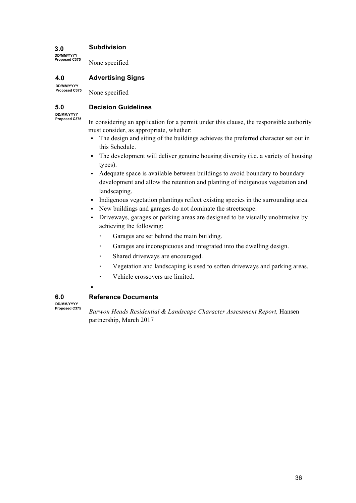#### **3.0 Subdivision**

None specified

#### **4.0 Advertising Signs**

**DD/MM/YYYY Proposed C375**

**DD/MM/YYYY Proposed C375**

None specified

#### **5.0 Decision Guidelines**

**DD/MM/YYYY Proposed C375**

In considering an application for a permit under this clause, the responsible authority must consider, as appropriate, whether:

- The design and siting of the buildings achieves the preferred character set out in this Schedule.
- The development will deliver genuine housing diversity (i.e. a variety of housing types).
- Adequate space is available between buildings to avoid boundary to boundary development and allow the retention and planting of indigenous vegetation and landscaping.
- Indigenous vegetation plantings reflect existing species in the surrounding area.
- § New buildings and garages do not dominate the streetscape.
- Driveways, garages or parking areas are designed to be visually unobtrusive by achieving the following:
	- Garages are set behind the main building.
	- Garages are inconspicuous and integrated into the dwelling design.
	- Shared driveways are encouraged.
	- Vegetation and landscaping is used to soften driveways and parking areas.
	- Vehicle crossovers are limited.
- §

**6.0 DD/MM/YYYY Proposed C375**

# **Reference Documents**

*Barwon Heads Residential & Landscape Character Assessment Report,* Hansen partnership, March 2017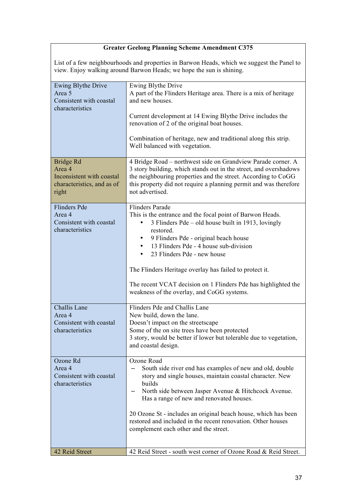# **Greater Geelong Planning Scheme Amendment C375**

List of a few neighbourhoods and properties in Barwon Heads, which we suggest the Panel to view. Enjoy walking around Barwon Heads; we hope the sun is shining.

| Ewing Blythe Drive<br>Area 5               | Ewing Blythe Drive                                                                                              |  |
|--------------------------------------------|-----------------------------------------------------------------------------------------------------------------|--|
| Consistent with coastal                    | A part of the Flinders Heritage area. There is a mix of heritage<br>and new houses.                             |  |
| characteristics                            |                                                                                                                 |  |
|                                            | Current development at 14 Ewing Blythe Drive includes the                                                       |  |
|                                            | renovation of 2 of the original boat houses.                                                                    |  |
|                                            | Combination of heritage, new and traditional along this strip.                                                  |  |
|                                            | Well balanced with vegetation.                                                                                  |  |
| Bridge Rd                                  | 4 Bridge Road – northwest side on Grandview Parade corner. A                                                    |  |
| Area 4                                     | 3 story building, which stands out in the street, and overshadows                                               |  |
| Inconsistent with coastal                  | the neighbouring properties and the street. According to CoGG                                                   |  |
| characteristics, and as of<br>right        | this property did not require a planning permit and was therefore<br>not advertised.                            |  |
|                                            |                                                                                                                 |  |
| <b>Flinders Pde</b>                        | <b>Flinders Parade</b>                                                                                          |  |
| Area 4<br>Consistent with coastal          | This is the entrance and the focal point of Barwon Heads.<br>3 Flinders Pde – old house built in 1913, lovingly |  |
| characteristics                            | restored.                                                                                                       |  |
|                                            | 9 Flinders Pde - original beach house                                                                           |  |
|                                            | 13 Flinders Pde - 4 house sub-division<br>$\bullet$                                                             |  |
|                                            | 23 Flinders Pde - new house<br>$\bullet$                                                                        |  |
|                                            | The Flinders Heritage overlay has failed to protect it.                                                         |  |
|                                            | The recent VCAT decision on 1 Flinders Pde has highlighted the                                                  |  |
|                                            | weakness of the overlay, and CoGG systems.                                                                      |  |
| Challis Lane                               | Flinders Pde and Challis Lane                                                                                   |  |
| Area 4                                     | New build, down the lane.                                                                                       |  |
| Consistent with coastal<br>characteristics | Doesn't impact on the streetscape<br>Some of the on site trees have been protected                              |  |
|                                            | 3 story, would be better if lower but tolerable due to vegetation,                                              |  |
|                                            | and coastal design                                                                                              |  |
| Ozone Rd                                   | Ozone Road                                                                                                      |  |
| Area 4                                     | South side river end has examples of new and old, double                                                        |  |
| Consistent with coastal<br>characteristics | story and single houses, maintain coastal character. New<br>builds                                              |  |
|                                            | North side between Jasper Avenue & Hitchcock Avenue.                                                            |  |
|                                            | Has a range of new and renovated houses.                                                                        |  |
|                                            | 20 Ozone St - includes an original beach house, which has been                                                  |  |
|                                            | restored and included in the recent renovation. Other houses                                                    |  |
|                                            | complement each other and the street.                                                                           |  |
|                                            |                                                                                                                 |  |
| 42 Reid Street                             | 42 Reid Street - south west corner of Ozone Road & Reid Street.                                                 |  |